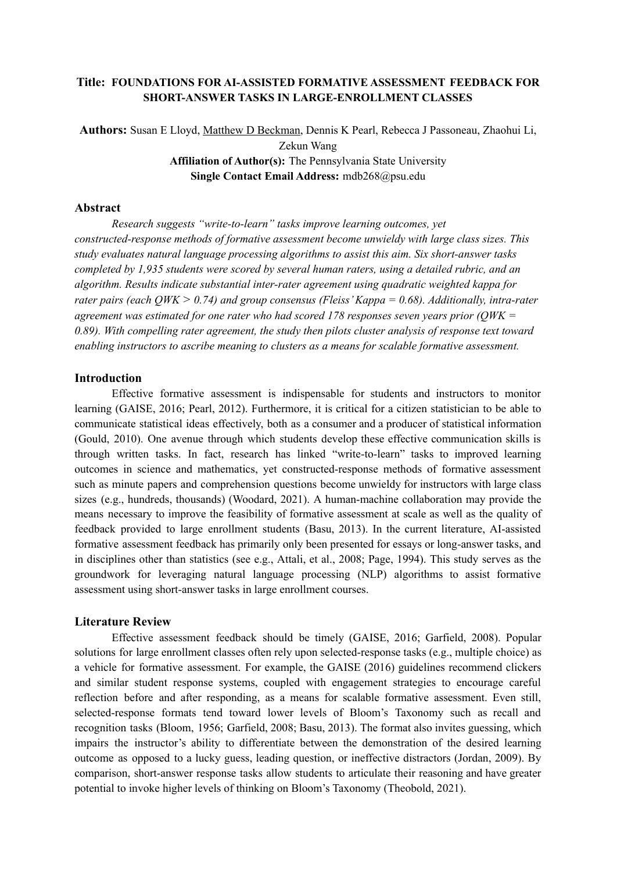# **Title: FOUNDATIONS FOR AI-ASSISTED FORMATIVE ASSESSMENT FEEDBACK FOR SHORT-ANSWER TASKS IN LARGE-ENROLLMENT CLASSES**

**Authors:** Susan E Lloyd, Matthew D Beckman, Dennis K Pearl, Rebecca J Passoneau, Zhaohui Li, Zekun Wang **Affiliation of Author(s):** The Pennsylvania State University **Single Contact Email Address:** mdb268@psu.edu

#### **Abstract**

*Research suggests "write-to-learn" tasks improve learning outcomes, yet constructed-response methods of formative assessment become unwieldy with large class sizes. This study evaluates natural language processing algorithms to assist this aim. Six short-answer tasks completed by 1,935 students were scored by several human raters, using a detailed rubric, and an algorithm. Results indicate substantial inter-rater agreement using quadratic weighted kappa for rater pairs (each QWK > 0.74) and group consensus (Fleiss'Kappa = 0.68). Additionally, intra-rater agreement was estimated for one rater who had scored 178 responses seven years prior (QWK = 0.89). With compelling rater agreement, the study then pilots cluster analysis of response text toward enabling instructors to ascribe meaning to clusters as a means for scalable formative assessment.*

#### **Introduction**

Effective formative assessment is indispensable for students and instructors to monitor learning (GAISE, 2016; Pearl, 2012). Furthermore, it is critical for a citizen statistician to be able to communicate statistical ideas effectively, both as a consumer and a producer of statistical information (Gould, 2010). One avenue through which students develop these effective communication skills is through written tasks. In fact, research has linked "write-to-learn" tasks to improved learning outcomes in science and mathematics, yet constructed-response methods of formative assessment such as minute papers and comprehension questions become unwieldy for instructors with large class sizes (e.g., hundreds, thousands) (Woodard, 2021). A human-machine collaboration may provide the means necessary to improve the feasibility of formative assessment at scale as well as the quality of feedback provided to large enrollment students (Basu, 2013). In the current literature, AI-assisted formative assessment feedback has primarily only been presented for essays or long-answer tasks, and in disciplines other than statistics (see e.g., Attali, et al., 2008; Page, 1994). This study serves as the groundwork for leveraging natural language processing (NLP) algorithms to assist formative assessment using short-answer tasks in large enrollment courses.

#### **Literature Review**

Effective assessment feedback should be timely (GAISE, 2016; Garfield, 2008). Popular solutions for large enrollment classes often rely upon selected-response tasks (e.g., multiple choice) as a vehicle for formative assessment. For example, the GAISE (2016) guidelines recommend clickers and similar student response systems, coupled with engagement strategies to encourage careful reflection before and after responding, as a means for scalable formative assessment. Even still, selected-response formats tend toward lower levels of Bloom's Taxonomy such as recall and recognition tasks (Bloom, 1956; Garfield, 2008; Basu, 2013). The format also invites guessing, which impairs the instructor's ability to differentiate between the demonstration of the desired learning outcome as opposed to a lucky guess, leading question, or ineffective distractors (Jordan, 2009). By comparison, short-answer response tasks allow students to articulate their reasoning and have greater potential to invoke higher levels of thinking on Bloom's Taxonomy (Theobold, 2021).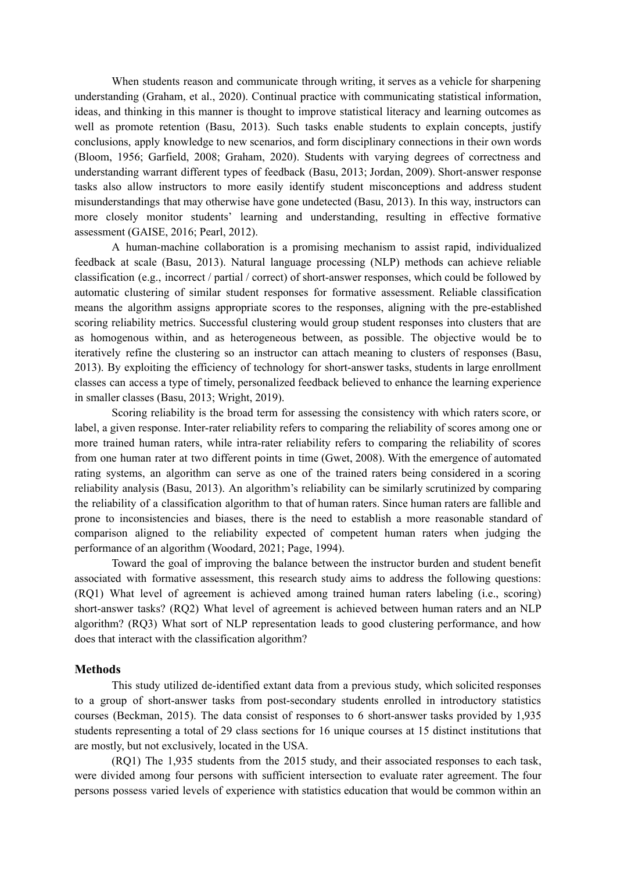When students reason and communicate through writing, it serves as a vehicle for sharpening understanding (Graham, et al., 2020). Continual practice with communicating statistical information, ideas, and thinking in this manner is thought to improve statistical literacy and learning outcomes as well as promote retention (Basu, 2013). Such tasks enable students to explain concepts, justify conclusions, apply knowledge to new scenarios, and form disciplinary connections in their own words (Bloom, 1956; Garfield, 2008; Graham, 2020). Students with varying degrees of correctness and understanding warrant different types of feedback (Basu, 2013; Jordan, 2009). Short-answer response tasks also allow instructors to more easily identify student misconceptions and address student misunderstandings that may otherwise have gone undetected (Basu, 2013). In this way, instructors can more closely monitor students' learning and understanding, resulting in effective formative assessment (GAISE, 2016; Pearl, 2012).

A human-machine collaboration is a promising mechanism to assist rapid, individualized feedback at scale (Basu, 2013). Natural language processing (NLP) methods can achieve reliable classification (e.g., incorrect / partial / correct) of short-answer responses, which could be followed by automatic clustering of similar student responses for formative assessment. Reliable classification means the algorithm assigns appropriate scores to the responses, aligning with the pre-established scoring reliability metrics. Successful clustering would group student responses into clusters that are as homogenous within, and as heterogeneous between, as possible. The objective would be to iteratively refine the clustering so an instructor can attach meaning to clusters of responses (Basu, 2013). By exploiting the efficiency of technology for short-answer tasks, students in large enrollment classes can access a type of timely, personalized feedback believed to enhance the learning experience in smaller classes (Basu, 2013; Wright, 2019).

Scoring reliability is the broad term for assessing the consistency with which raters score, or label, a given response. Inter-rater reliability refers to comparing the reliability of scores among one or more trained human raters, while intra-rater reliability refers to comparing the reliability of scores from one human rater at two different points in time (Gwet, 2008). With the emergence of automated rating systems, an algorithm can serve as one of the trained raters being considered in a scoring reliability analysis (Basu, 2013). An algorithm's reliability can be similarly scrutinized by comparing the reliability of a classification algorithm to that of human raters. Since human raters are fallible and prone to inconsistencies and biases, there is the need to establish a more reasonable standard of comparison aligned to the reliability expected of competent human raters when judging the performance of an algorithm (Woodard, 2021; Page, 1994).

Toward the goal of improving the balance between the instructor burden and student benefit associated with formative assessment, this research study aims to address the following questions: (RQ1) What level of agreement is achieved among trained human raters labeling (i.e., scoring) short-answer tasks? (RQ2) What level of agreement is achieved between human raters and an NLP algorithm? (RQ3) What sort of NLP representation leads to good clustering performance, and how does that interact with the classification algorithm?

# **Methods**

This study utilized de-identified extant data from a previous study, which solicited responses to a group of short-answer tasks from post-secondary students enrolled in introductory statistics courses (Beckman, 2015). The data consist of responses to 6 short-answer tasks provided by 1,935 students representing a total of 29 class sections for 16 unique courses at 15 distinct institutions that are mostly, but not exclusively, located in the USA.

(RQ1) The 1,935 students from the 2015 study, and their associated responses to each task, were divided among four persons with sufficient intersection to evaluate rater agreement. The four persons possess varied levels of experience with statistics education that would be common within an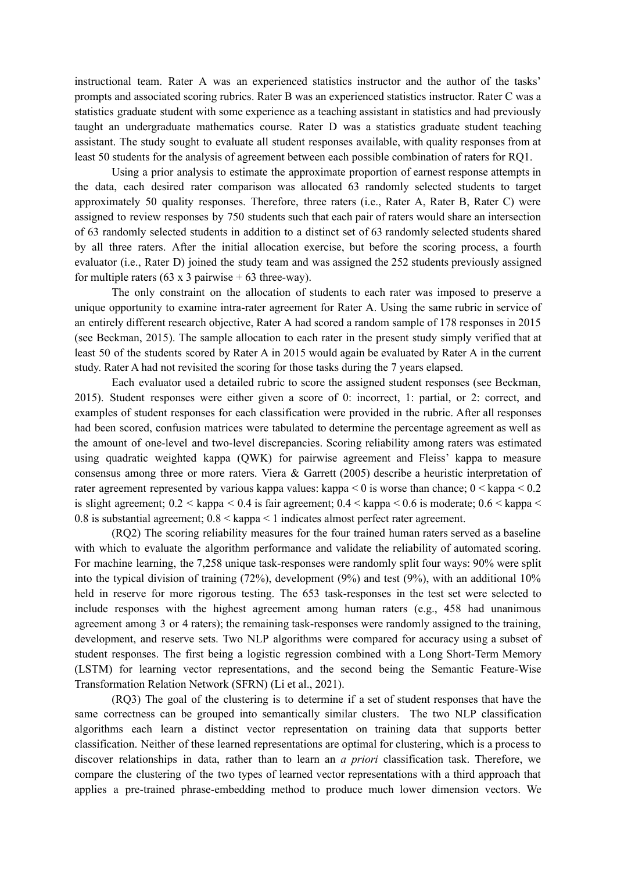instructional team. Rater A was an experienced statistics instructor and the author of the tasks' prompts and associated scoring rubrics. Rater B was an experienced statistics instructor. Rater C was a statistics graduate student with some experience as a teaching assistant in statistics and had previously taught an undergraduate mathematics course. Rater D was a statistics graduate student teaching assistant. The study sought to evaluate all student responses available, with quality responses from at least 50 students for the analysis of agreement between each possible combination of raters for RQ1.

Using a prior analysis to estimate the approximate proportion of earnest response attempts in the data, each desired rater comparison was allocated 63 randomly selected students to target approximately 50 quality responses. Therefore, three raters (i.e., Rater A, Rater B, Rater C) were assigned to review responses by 750 students such that each pair of raters would share an intersection of 63 randomly selected students in addition to a distinct set of 63 randomly selected students shared by all three raters. After the initial allocation exercise, but before the scoring process, a fourth evaluator (i.e., Rater D) joined the study team and was assigned the 252 students previously assigned for multiple raters  $(63 \times 3 \text{ pairwise} + 63 \text{ three-way})$ .

The only constraint on the allocation of students to each rater was imposed to preserve a unique opportunity to examine intra-rater agreement for Rater A. Using the same rubric in service of an entirely different research objective, Rater A had scored a random sample of 178 responses in 2015 (see Beckman, 2015). The sample allocation to each rater in the present study simply verified that at least 50 of the students scored by Rater A in 2015 would again be evaluated by Rater A in the current study. Rater A had not revisited the scoring for those tasks during the 7 years elapsed.

Each evaluator used a detailed rubric to score the assigned student responses (see Beckman, 2015). Student responses were either given a score of 0: incorrect, 1: partial, or 2: correct, and examples of student responses for each classification were provided in the rubric. After all responses had been scored, confusion matrices were tabulated to determine the percentage agreement as well as the amount of one-level and two-level discrepancies. Scoring reliability among raters was estimated using quadratic weighted kappa (QWK) for pairwise agreement and Fleiss' kappa to measure consensus among three or more raters. Viera & Garrett (2005) describe a heuristic interpretation of rater agreement represented by various kappa values: kappa  $\leq 0$  is worse than chance;  $0 \leq$  kappa  $\leq 0.2$ is slight agreement;  $0.2 <$  kappa  $< 0.4$  is fair agreement;  $0.4 <$  kappa  $< 0.6$  is moderate;  $0.6 <$  kappa  $<$ 0.8 is substantial agreement; 0.8 < kappa < 1 indicates almost perfect rater agreement.

(RQ2) The scoring reliability measures for the four trained human raters served as a baseline with which to evaluate the algorithm performance and validate the reliability of automated scoring. For machine learning, the 7,258 unique task-responses were randomly split four ways: 90% were split into the typical division of training (72%), development (9%) and test (9%), with an additional 10% held in reserve for more rigorous testing. The 653 task-responses in the test set were selected to include responses with the highest agreement among human raters (e.g., 458 had unanimous agreement among 3 or 4 raters); the remaining task-responses were randomly assigned to the training, development, and reserve sets. Two NLP algorithms were compared for accuracy using a subset of student responses. The first being a logistic regression combined with a Long Short-Term Memory (LSTM) for learning vector representations, and the second being the Semantic Feature-Wise Transformation Relation Network (SFRN) (Li et al., 2021).

(RQ3) The goal of the clustering is to determine if a set of student responses that have the same correctness can be grouped into semantically similar clusters. The two NLP classification algorithms each learn a distinct vector representation on training data that supports better classification. Neither of these learned representations are optimal for clustering, which is a process to discover relationships in data, rather than to learn an *a priori* classification task. Therefore, we compare the clustering of the two types of learned vector representations with a third approach that applies a pre-trained phrase-embedding method to produce much lower dimension vectors. We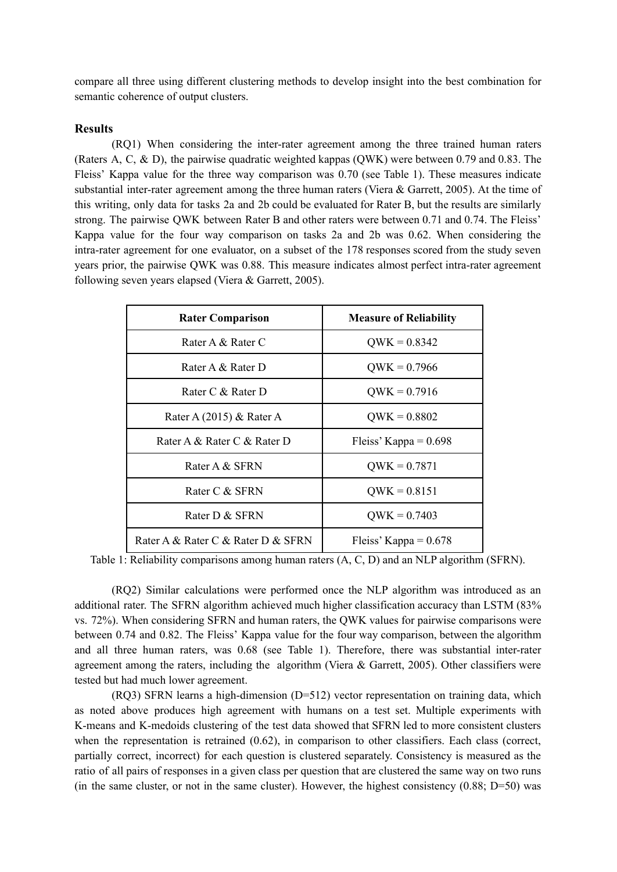compare all three using different clustering methods to develop insight into the best combination for semantic coherence of output clusters.

#### **Results**

(RQ1) When considering the inter-rater agreement among the three trained human raters (Raters A, C, & D), the pairwise quadratic weighted kappas (QWK) were between 0.79 and 0.83. The Fleiss' Kappa value for the three way comparison was 0.70 (see Table 1). These measures indicate substantial inter-rater agreement among the three human raters (Viera & Garrett, 2005). At the time of this writing, only data for tasks 2a and 2b could be evaluated for Rater B, but the results are similarly strong. The pairwise QWK between Rater B and other raters were between 0.71 and 0.74. The Fleiss' Kappa value for the four way comparison on tasks 2a and 2b was 0.62. When considering the intra-rater agreement for one evaluator, on a subset of the 178 responses scored from the study seven years prior, the pairwise QWK was 0.88. This measure indicates almost perfect intra-rater agreement following seven years elapsed (Viera & Garrett, 2005).

| <b>Rater Comparison</b>            | <b>Measure of Reliability</b> |
|------------------------------------|-------------------------------|
| Rater A & Rater C                  | $QWK = 0.8342$                |
| Rater A & Rater D                  | $QWK = 0.7966$                |
| Rater C & Rater D                  | $QWK = 0.7916$                |
| Rater A $(2015)$ & Rater A         | $QWK = 0.8802$                |
| Rater A & Rater C & Rater D        | Fleiss' Kappa = $0.698$       |
| Rater A & SFRN                     | $QWK = 0.7871$                |
| Rater C & SFRN                     | $QWK = 0.8151$                |
| Rater D & SFRN                     | $QWK = 0.7403$                |
| Rater A & Rater C & Rater D & SFRN | Fleiss' Kappa = $0.678$       |

Table 1: Reliability comparisons among human raters (A, C, D) and an NLP algorithm (SFRN).

(RQ2) Similar calculations were performed once the NLP algorithm was introduced as an additional rater. The SFRN algorithm achieved much higher classification accuracy than LSTM (83% vs. 72%). When considering SFRN and human raters, the QWK values for pairwise comparisons were between 0.74 and 0.82. The Fleiss' Kappa value for the four way comparison, between the algorithm and all three human raters, was 0.68 (see Table 1). Therefore, there was substantial inter-rater agreement among the raters, including the algorithm (Viera & Garrett, 2005). Other classifiers were tested but had much lower agreement.

(RQ3) SFRN learns a high-dimension (D=512) vector representation on training data, which as noted above produces high agreement with humans on a test set. Multiple experiments with K-means and K-medoids clustering of the test data showed that SFRN led to more consistent clusters when the representation is retrained  $(0.62)$ , in comparison to other classifiers. Each class (correct, partially correct, incorrect) for each question is clustered separately. Consistency is measured as the ratio of all pairs of responses in a given class per question that are clustered the same way on two runs (in the same cluster, or not in the same cluster). However, the highest consistency  $(0.88; D=50)$  was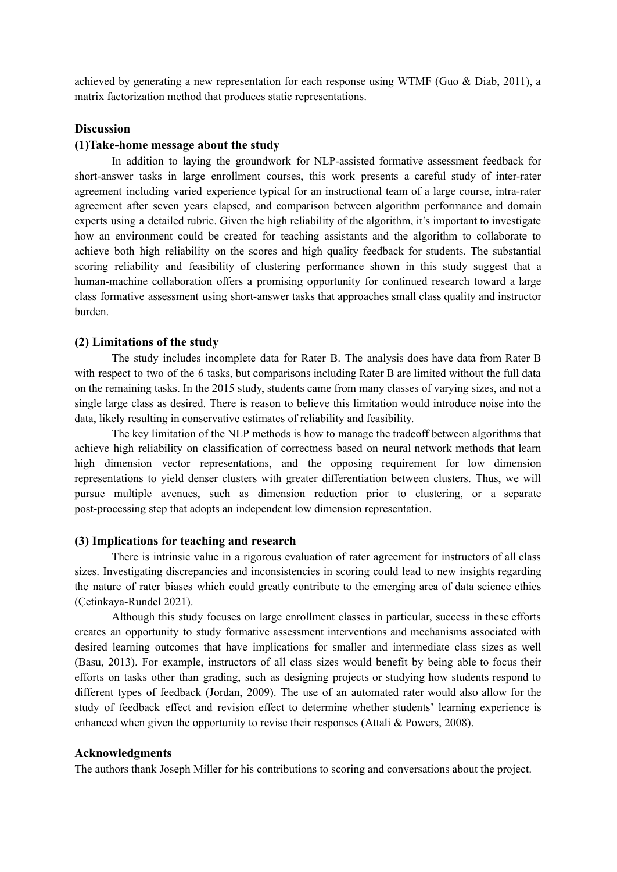achieved by generating a new representation for each response using WTMF (Guo  $\&$  Diab, 2011), a matrix factorization method that produces static representations.

# **Discussion**

#### **(1)Take-home message about the study**

In addition to laying the groundwork for NLP-assisted formative assessment feedback for short-answer tasks in large enrollment courses, this work presents a careful study of inter-rater agreement including varied experience typical for an instructional team of a large course, intra-rater agreement after seven years elapsed, and comparison between algorithm performance and domain experts using a detailed rubric. Given the high reliability of the algorithm, it's important to investigate how an environment could be created for teaching assistants and the algorithm to collaborate to achieve both high reliability on the scores and high quality feedback for students. The substantial scoring reliability and feasibility of clustering performance shown in this study suggest that a human-machine collaboration offers a promising opportunity for continued research toward a large class formative assessment using short-answer tasks that approaches small class quality and instructor burden.

#### **(2) Limitations of the study**

The study includes incomplete data for Rater B. The analysis does have data from Rater B with respect to two of the 6 tasks, but comparisons including Rater B are limited without the full data on the remaining tasks. In the 2015 study, students came from many classes of varying sizes, and not a single large class as desired. There is reason to believe this limitation would introduce noise into the data, likely resulting in conservative estimates of reliability and feasibility.

The key limitation of the NLP methods is how to manage the tradeoff between algorithms that achieve high reliability on classification of correctness based on neural network methods that learn high dimension vector representations, and the opposing requirement for low dimension representations to yield denser clusters with greater differentiation between clusters. Thus, we will pursue multiple avenues, such as dimension reduction prior to clustering, or a separate post-processing step that adopts an independent low dimension representation.

# **(3) Implications for teaching and research**

There is intrinsic value in a rigorous evaluation of rater agreement for instructors of all class sizes. Investigating discrepancies and inconsistencies in scoring could lead to new insights regarding the nature of rater biases which could greatly contribute to the emerging area of data science ethics (Çetinkaya-Rundel 2021).

Although this study focuses on large enrollment classes in particular, success in these efforts creates an opportunity to study formative assessment interventions and mechanisms associated with desired learning outcomes that have implications for smaller and intermediate class sizes as well (Basu, 2013). For example, instructors of all class sizes would benefit by being able to focus their efforts on tasks other than grading, such as designing projects or studying how students respond to different types of feedback (Jordan, 2009). The use of an automated rater would also allow for the study of feedback effect and revision effect to determine whether students' learning experience is enhanced when given the opportunity to revise their responses (Attali  $&$  Powers, 2008).

# **Acknowledgments**

The authors thank Joseph Miller for his contributions to scoring and conversations about the project.